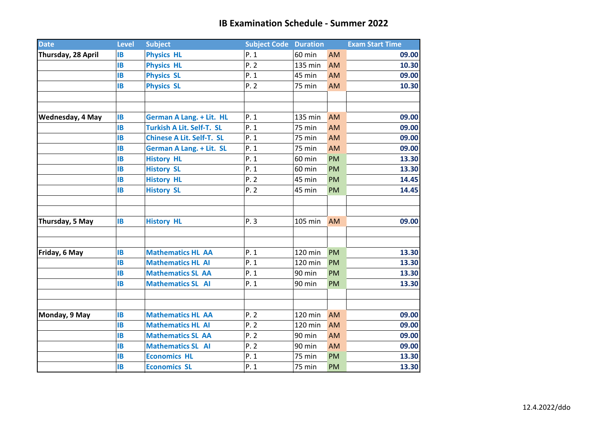| <b>Date</b>        | <b>Level</b><br><b>Subject</b> |                                  | <b>Subject Code Duration</b> |         |           | <b>Exam Start Time</b> |  |
|--------------------|--------------------------------|----------------------------------|------------------------------|---------|-----------|------------------------|--|
| Thursday, 28 April | <b>IB</b>                      | <b>Physics HL</b>                | P.1                          | 60 min  | AM        | 09.00                  |  |
|                    | <b>IB</b>                      | <b>Physics HL</b>                | P.2                          | 135 min | AM        | 10.30                  |  |
|                    | <b>IB</b>                      | <b>Physics SL</b>                | P.1                          | 45 min  | AM        | 09.00                  |  |
|                    | <b>IB</b>                      | <b>Physics SL</b>                | P.2                          | 75 min  | AM        | 10.30                  |  |
|                    |                                |                                  |                              |         |           |                        |  |
|                    |                                |                                  |                              |         |           |                        |  |
| Wednesday, 4 May   | <b>IB</b>                      | <b>German A Lang. + Lit. HL</b>  | P.1                          | 135 min | AM        | 09.00                  |  |
|                    | <b>IB</b>                      | <b>Turkish A Lit. Self-T. SL</b> | P.1                          | 75 min  | AM        | 09.00                  |  |
|                    | <b>IB</b>                      | <b>Chinese A Lit. Self-T. SL</b> | P.1                          | 75 min  | AM        | 09.00                  |  |
|                    | <b>IB</b>                      | <b>German A Lang. + Lit. SL</b>  | P.1                          | 75 min  | AM        | 09.00                  |  |
|                    | <b>IB</b>                      | <b>History HL</b>                | P.1                          | 60 min  | <b>PM</b> | 13.30                  |  |
|                    | <b>IB</b>                      | <b>History SL</b>                | P.1                          | 60 min  | <b>PM</b> | 13.30                  |  |
|                    | <b>IB</b>                      | <b>History HL</b>                | P.2                          | 45 min  | <b>PM</b> | 14.45                  |  |
|                    | <b>IB</b>                      | <b>History SL</b>                | P.2                          | 45 min  | <b>PM</b> | 14.45                  |  |
|                    |                                |                                  |                              |         |           |                        |  |
|                    |                                |                                  |                              |         |           |                        |  |
| Thursday, 5 May    | <b>IB</b>                      | <b>History HL</b>                | P.3                          | 105 min | AM        | 09.00                  |  |
|                    |                                |                                  |                              |         |           |                        |  |
|                    |                                |                                  |                              |         |           |                        |  |
| Friday, 6 May      | <b>IB</b>                      | <b>Mathematics HL AA</b>         | P.1                          | 120 min | <b>PM</b> | 13.30                  |  |
|                    | <b>IB</b>                      | <b>Mathematics HL AI</b>         | P.1                          | 120 min | <b>PM</b> | 13.30                  |  |
|                    | <b>IB</b>                      | <b>Mathematics SL AA</b>         | P.1                          | 90 min  | <b>PM</b> | 13.30                  |  |
|                    | <b>IB</b>                      | <b>Mathematics SL AI</b>         | P.1                          | 90 min  | <b>PM</b> | 13.30                  |  |
|                    |                                |                                  |                              |         |           |                        |  |
|                    |                                |                                  |                              |         |           |                        |  |
| Monday, 9 May      | <b>IB</b>                      | <b>Mathematics HL AA</b>         | P.2                          | 120 min | AM        | 09.00                  |  |
|                    | <b>IB</b>                      | <b>Mathematics HL AI</b>         | P.2                          | 120 min | AM        | 09.00                  |  |
|                    | <b>IB</b>                      | <b>Mathematics SL AA</b>         | P.2                          | 90 min  | AM        | 09.00                  |  |
|                    | <b>IB</b>                      | <b>Mathematics SL AI</b>         | P.2                          | 90 min  | AM        | 09.00                  |  |
|                    | <b>IB</b>                      | <b>Economics HL</b>              | P. 1                         | 75 min  | <b>PM</b> | 13.30                  |  |
|                    | <b>IB</b>                      | <b>Economics SL</b>              | P.1                          | 75 min  | <b>PM</b> | 13.30                  |  |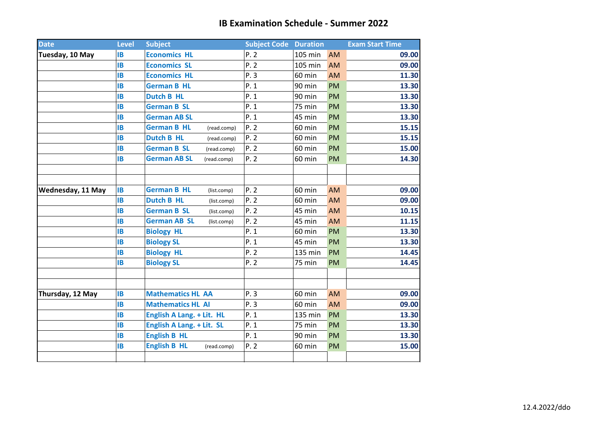| <b>Date</b>       | <b>Level</b> | <b>Subject</b>                     | <b>Subject Code Duration</b> |               |           | <b>Exam Start Time</b> |
|-------------------|--------------|------------------------------------|------------------------------|---------------|-----------|------------------------|
| Tuesday, 10 May   | <b>IB</b>    | <b>Economics HL</b>                | P.2                          | 105 min       | <b>AM</b> | 09.00                  |
|                   | <b>IB</b>    | <b>Economics SL</b>                | P.2                          | 105 min       | <b>AM</b> | 09.00                  |
|                   | <b>IB</b>    | <b>Economics HL</b>                | P.3                          | 60 min        | AM        | 11.30                  |
|                   | <b>IB</b>    | <b>German B HL</b>                 | P. 1                         | 90 min        | <b>PM</b> | 13.30                  |
|                   | <b>IB</b>    | <b>Dutch B HL</b>                  | P.1                          | 90 min        | <b>PM</b> | 13.30                  |
|                   | <b>IB</b>    | <b>German B SL</b>                 | P.1                          | 75 min        | <b>PM</b> | 13.30                  |
|                   | <b>IB</b>    | <b>German AB SL</b>                | P.1                          | 45 min        | <b>PM</b> | 13.30                  |
|                   | <b>IB</b>    | <b>German B HL</b><br>(read.comp)  | P.2                          | 60 min        | <b>PM</b> | 15.15                  |
|                   | <b>IB</b>    | <b>Dutch B HL</b><br>(read.comp)   | P.2                          | 60 min        | <b>PM</b> | 15.15                  |
|                   | <b>IB</b>    | <b>German B SL</b><br>(read.comp)  | P.2                          | 60 min        | <b>PM</b> | 15.00                  |
|                   | IB           | <b>German AB SL</b><br>(read.comp) | P.2                          | 60 min        | PM        | 14.30                  |
|                   |              |                                    |                              |               |           |                        |
| Wednesday, 11 May | <b>IB</b>    | <b>German B HL</b><br>(list.comp)  | P.2                          | 60 min        | AM        | 09.00                  |
|                   | <b>IB</b>    | <b>Dutch B HL</b><br>(list.comp)   | P.2                          | 60 min        | AM        | 09.00                  |
|                   | <b>IB</b>    | <b>German B SL</b><br>(list.comp)  | P.2                          | 45 min        | AM        | 10.15                  |
|                   | <b>IB</b>    | <b>German AB SL</b><br>(list.comp) | P.2                          | 45 min        | <b>AM</b> | 11.15                  |
|                   | <b>IB</b>    | <b>Biology HL</b>                  | P.1                          | 60 min        | <b>PM</b> | 13.30                  |
|                   | <b>IB</b>    | <b>Biology SL</b>                  | P.1                          | 45 min        | <b>PM</b> | 13.30                  |
|                   | IB           | <b>Biology HL</b>                  | P.2                          | 135 min       | <b>PM</b> | 14.45                  |
|                   | <b>IB</b>    | <b>Biology SL</b>                  | P.2                          | 75 min        | <b>PM</b> | 14.45                  |
|                   |              |                                    |                              |               |           |                        |
| Thursday, 12 May  | <b>IB</b>    | <b>Mathematics HL AA</b>           | P.3                          | 60 min        | <b>AM</b> | 09.00                  |
|                   | <b>IB</b>    | <b>Mathematics HL AI</b>           | P.3                          | 60 min        | <b>AM</b> | 09.00                  |
|                   | <b>IB</b>    | English A Lang. + Lit. HL          | P.1                          | 135 min       | <b>PM</b> | 13.30                  |
|                   | IB           | English A Lang. + Lit. SL          | P.1                          | <b>75 min</b> | <b>PM</b> | 13.30                  |
|                   | <b>IB</b>    | <b>English B HL</b>                | P.1                          | 90 min        | <b>PM</b> | 13.30                  |
|                   | <b>IB</b>    | <b>English B HL</b><br>(read.comp) | P.2                          | 60 min        | <b>PM</b> | 15.00                  |
|                   |              |                                    |                              |               |           |                        |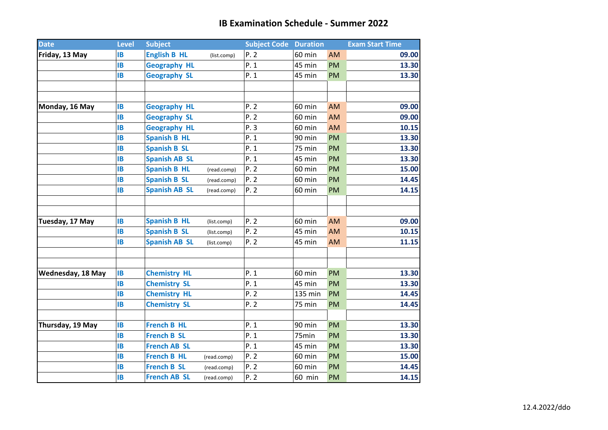| <b>Date</b>       | <b>Level</b> | <b>Subject</b>       |             | <b>Subject Code Duration</b> |         |           | <b>Exam Start Time</b> |
|-------------------|--------------|----------------------|-------------|------------------------------|---------|-----------|------------------------|
| Friday, 13 May    | <b>IB</b>    | <b>English B HL</b>  | (list.comp) | P.2                          | 60 min  | AM        | 09.00                  |
|                   | <b>IB</b>    | <b>Geography HL</b>  |             | P.1                          | 45 min  | <b>PM</b> | 13.30                  |
|                   | <b>IB</b>    | <b>Geography SL</b>  |             | P. 1                         | 45 min  | PM        | 13.30                  |
|                   |              |                      |             |                              |         |           |                        |
|                   |              |                      |             |                              |         |           |                        |
| Monday, 16 May    | <b>IB</b>    | <b>Geography HL</b>  |             | P.2                          | 60 min  | <b>AM</b> | 09.00                  |
|                   | <b>IB</b>    | <b>Geography SL</b>  |             | P.2                          | 60 min  | AM        | 09.00                  |
|                   | <b>IB</b>    | <b>Geography HL</b>  |             | P.3                          | 60 min  | <b>AM</b> | 10.15                  |
|                   | <b>IB</b>    | <b>Spanish B HL</b>  |             | P.1                          | 90 min  | <b>PM</b> | 13.30                  |
|                   | <b>IB</b>    | <b>Spanish B SL</b>  |             | P.1                          | 75 min  | <b>PM</b> | 13.30                  |
|                   | <b>IB</b>    | <b>Spanish AB SL</b> |             | P. 1                         | 45 min  | <b>PM</b> | 13.30                  |
|                   | <b>IB</b>    | <b>Spanish B HL</b>  | (read.comp) | P. 2                         | 60 min  | <b>PM</b> | 15.00                  |
|                   | <b>IB</b>    | <b>Spanish B SL</b>  | (read.comp) | P. 2                         | 60 min  | <b>PM</b> | 14.45                  |
|                   | <b>IB</b>    | <b>Spanish AB SL</b> | (read.comp) | P. 2                         | 60 min  | PM        | 14.15                  |
|                   |              |                      |             |                              |         |           |                        |
|                   |              |                      |             |                              |         |           |                        |
| Tuesday, 17 May   | IB           | <b>Spanish B HL</b>  | (list.comp) | P.2                          | 60 min  | AM        | 09.00                  |
|                   | <b>IB</b>    | <b>Spanish B SL</b>  | (list.comp) | P. 2                         | 45 min  | AM        | 10.15                  |
|                   | <b>IB</b>    | <b>Spanish AB SL</b> | (list.comp) | P.2                          | 45 min  | AM        | 11.15                  |
|                   |              |                      |             |                              |         |           |                        |
|                   |              |                      |             |                              |         |           |                        |
| Wednesday, 18 May | <b>IB</b>    | <b>Chemistry HL</b>  |             | P. 1                         | 60 min  | <b>PM</b> | 13.30                  |
|                   | <b>IB</b>    | <b>Chemistry SL</b>  |             | P.1                          | 45 min  | <b>PM</b> | 13.30                  |
|                   | <b>IB</b>    | <b>Chemistry HL</b>  |             | P.2                          | 135 min | <b>PM</b> | 14.45                  |
|                   | <b>IB</b>    | <b>Chemistry SL</b>  |             | P.2                          | 75 min  | <b>PM</b> | 14.45                  |
|                   |              |                      |             |                              |         |           |                        |
| Thursday, 19 May  | IB           | <b>French B HL</b>   |             | P.1                          | 90 min  | <b>PM</b> | 13.30                  |
|                   | <b>IB</b>    | <b>French B SL</b>   |             | P.1                          | 75min   | <b>PM</b> | 13.30                  |
|                   | <b>IB</b>    | <b>French AB SL</b>  |             | P.1                          | 45 min  | <b>PM</b> | 13.30                  |
|                   | <b>IB</b>    | <b>French B HL</b>   | (read.comp) | P. 2                         | 60 min  | <b>PM</b> | 15.00                  |
|                   | <b>IB</b>    | <b>French B SL</b>   | (read.comp) | P. 2                         | 60 min  | <b>PM</b> | 14.45                  |
|                   | <b>IB</b>    | <b>French AB SL</b>  | (read.comp) | P.2                          | 60 min  | PM        | 14.15                  |